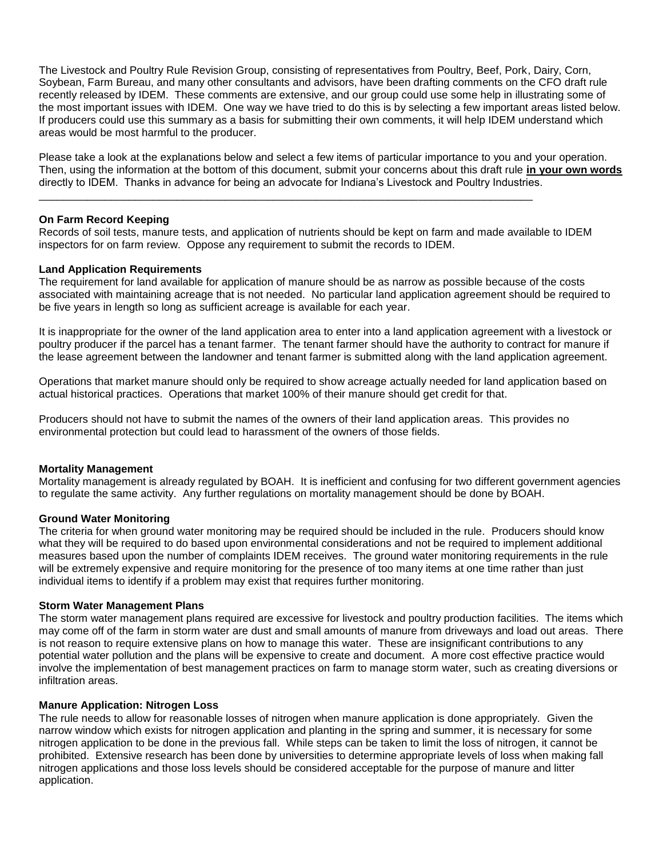The Livestock and Poultry Rule Revision Group, consisting of representatives from Poultry, Beef, Pork, Dairy, Corn, Soybean, Farm Bureau, and many other consultants and advisors, have been drafting comments on the CFO draft rule recently released by IDEM. These comments are extensive, and our group could use some help in illustrating some of the most important issues with IDEM. One way we have tried to do this is by selecting a few important areas listed below. If producers could use this summary as a basis for submitting their own comments, it will help IDEM understand which areas would be most harmful to the producer.

Please take a look at the explanations below and select a few items of particular importance to you and your operation. Then, using the information at the bottom of this document, submit your concerns about this draft rule **in your own words** directly to IDEM. Thanks in advance for being an advocate for Indiana's Livestock and Poultry Industries.

### **On Farm Record Keeping**

Records of soil tests, manure tests, and application of nutrients should be kept on farm and made available to IDEM inspectors for on farm review. Oppose any requirement to submit the records to IDEM.

\_\_\_\_\_\_\_\_\_\_\_\_\_\_\_\_\_\_\_\_\_\_\_\_\_\_\_\_\_\_\_\_\_\_\_\_\_\_\_\_\_\_\_\_\_\_\_\_\_\_\_\_\_\_\_\_\_\_\_\_\_\_\_\_\_\_\_\_\_\_\_\_\_\_\_\_\_\_\_\_\_\_

#### **Land Application Requirements**

The requirement for land available for application of manure should be as narrow as possible because of the costs associated with maintaining acreage that is not needed. No particular land application agreement should be required to be five years in length so long as sufficient acreage is available for each year.

It is inappropriate for the owner of the land application area to enter into a land application agreement with a livestock or poultry producer if the parcel has a tenant farmer. The tenant farmer should have the authority to contract for manure if the lease agreement between the landowner and tenant farmer is submitted along with the land application agreement.

Operations that market manure should only be required to show acreage actually needed for land application based on actual historical practices. Operations that market 100% of their manure should get credit for that.

Producers should not have to submit the names of the owners of their land application areas. This provides no environmental protection but could lead to harassment of the owners of those fields.

#### **Mortality Management**

Mortality management is already regulated by BOAH. It is inefficient and confusing for two different government agencies to regulate the same activity. Any further regulations on mortality management should be done by BOAH.

#### **Ground Water Monitoring**

The criteria for when ground water monitoring may be required should be included in the rule. Producers should know what they will be required to do based upon environmental considerations and not be required to implement additional measures based upon the number of complaints IDEM receives. The ground water monitoring requirements in the rule will be extremely expensive and require monitoring for the presence of too many items at one time rather than just individual items to identify if a problem may exist that requires further monitoring.

#### **Storm Water Management Plans**

The storm water management plans required are excessive for livestock and poultry production facilities. The items which may come off of the farm in storm water are dust and small amounts of manure from driveways and load out areas. There is not reason to require extensive plans on how to manage this water. These are insignificant contributions to any potential water pollution and the plans will be expensive to create and document. A more cost effective practice would involve the implementation of best management practices on farm to manage storm water, such as creating diversions or infiltration areas.

#### **Manure Application: Nitrogen Loss**

The rule needs to allow for reasonable losses of nitrogen when manure application is done appropriately. Given the narrow window which exists for nitrogen application and planting in the spring and summer, it is necessary for some nitrogen application to be done in the previous fall. While steps can be taken to limit the loss of nitrogen, it cannot be prohibited. Extensive research has been done by universities to determine appropriate levels of loss when making fall nitrogen applications and those loss levels should be considered acceptable for the purpose of manure and litter application.